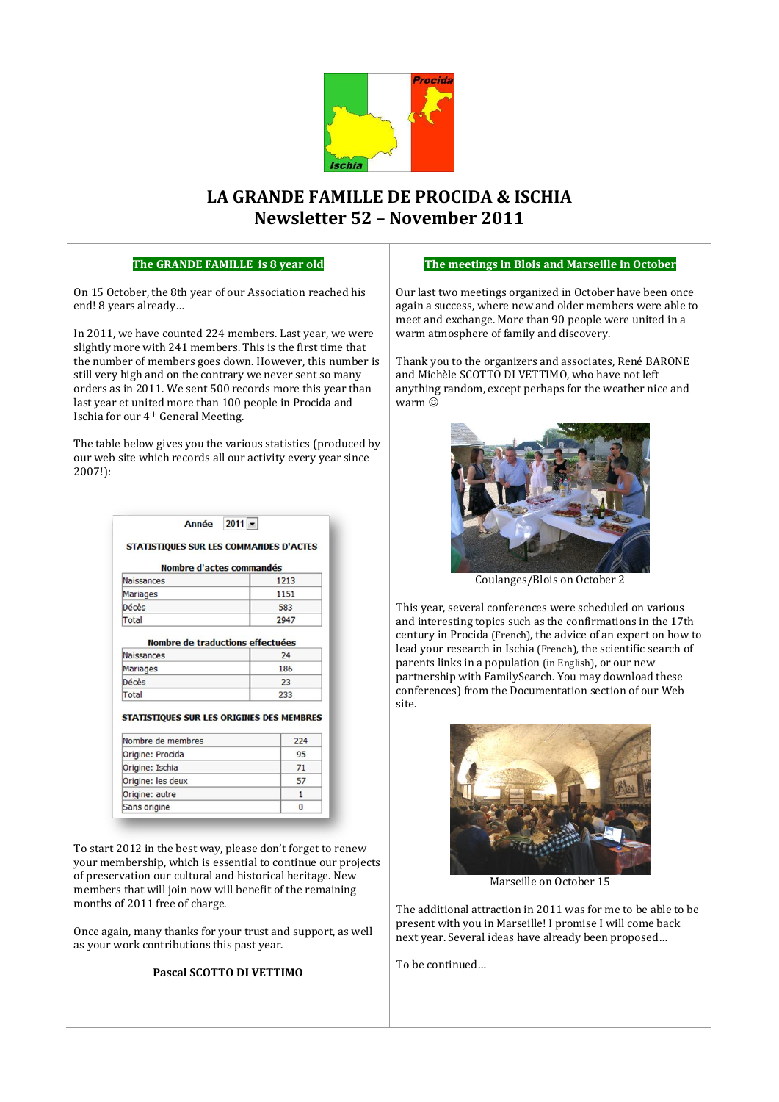

# **LA GRANDE FAMILLE DE PROCIDA & ISCHIA Newsletter 52 – November 2011**

### **The GRANDE FAMILLE is 8 year old**

On 15 October, the 8th year of our Association reached his end! 8 years already…

In 2011, we have counted 224 members. Last year, we were slightly more with 241 members. This is the first time that the number of members goes down. However, this number is still very high and on the contrary we never sent so many orders as in 2011. We sent 500 records more this year than last year et united more than 100 people in Procida and Ischia for our 4th General Meeting.

The table below gives you the various statistics (produced by our web site which records all our activity every year since 2007!):

| Nombre d'actes commandés                                       |              |
|----------------------------------------------------------------|--------------|
| <b>Naissances</b>                                              | 1213         |
| <b>Mariages</b>                                                | 1151         |
| Décès                                                          | 583          |
| Total                                                          | 2947         |
| Décès<br><b>Total</b>                                          | 23<br>233    |
| STATISTIQUES SUR LES ORIGINES DES MEMBRES<br>Nombre de membres | 224          |
|                                                                | 95           |
| Origine: Procida                                               | 71           |
| Origine: Ischia                                                |              |
|                                                                | 57           |
| Origine: les deux<br>Origine: autre                            | $\mathbf{1}$ |

To start 2012 in the best way, please don't forget to renew your membership, which is essential to continue our projects of preservation our cultural and historical heritage. New members that will join now will benefit of the remaining months of 2011 free of charge.

Once again, many thanks for your trust and support, as well as your work contributions this past year.

### **Pascal SCOTTO DI VETTIMO**

#### **The meetings in Blois and Marseille in October**

Our last two meetings organized in October have been once again a success, where new and older members were able to meet and exchange. More than 90 people were united in a warm atmosphere of family and discovery.

Thank you to the organizers and associates, René BARONE and Michèle SCOTTO DI VETTIMO, who have not left anything random, except perhaps for the weather nice and warm  $\ddot{\odot}$ 



Coulanges/Blois on October 2

This year, several conferences were scheduled on various and interesting topics such as the confirmations in the 17th century in Procida (French), the advice of an expert on how to lead your research in Ischia (French), the scientific search of parents links in a population (in English), or our new partnership with FamilySearch. You may download these conferences) from the Documentation section of our Web site.



Marseille on October 15

The additional attraction in 2011 was for me to be able to be present with you in Marseille! I promise I will come back next year. Several ideas have already been proposed…

To be continued…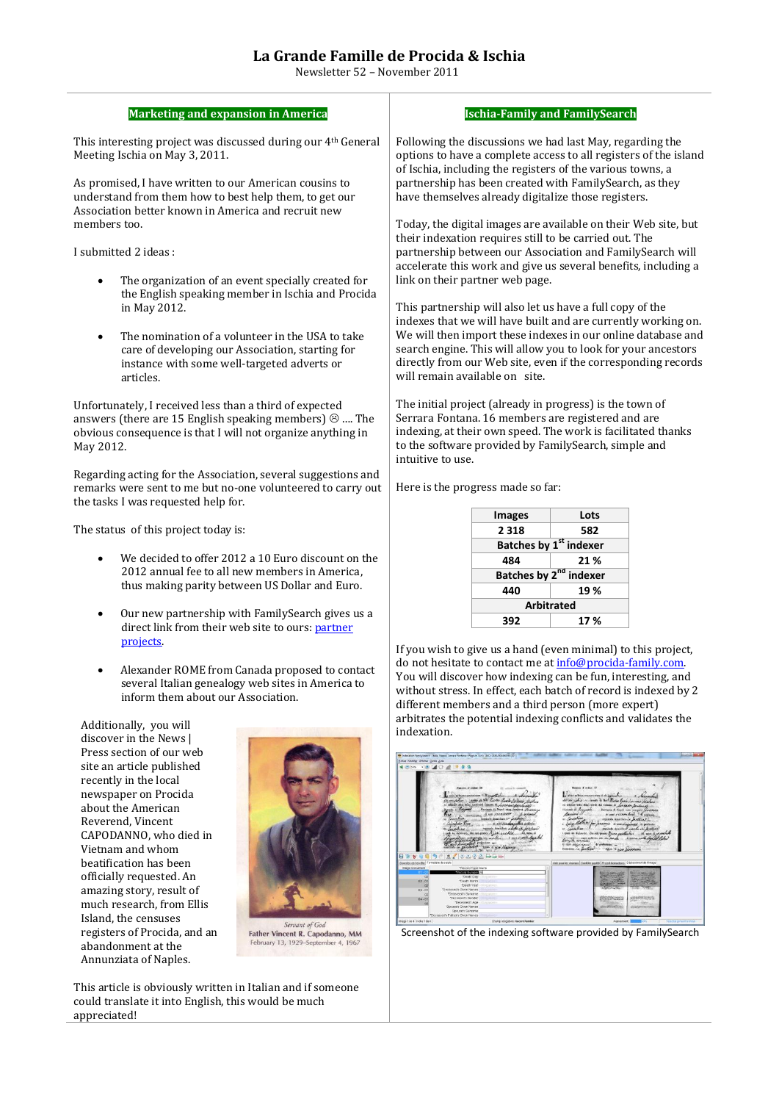## **La Grande Famille de Procida & Ischia**

Newsletter 52 – November 2011

| <b>Marketing and expansion in America</b>                                                                                                                                     |                                                                                                                                                                                            |                                 | <b>Ischia-Family and FamilySearch</b>                                                                                                                                                          |  |
|-------------------------------------------------------------------------------------------------------------------------------------------------------------------------------|--------------------------------------------------------------------------------------------------------------------------------------------------------------------------------------------|---------------------------------|------------------------------------------------------------------------------------------------------------------------------------------------------------------------------------------------|--|
| This interesting project was discussed during our 4th General<br>Meeting Ischia on May 3, 2011.                                                                               | Following the discussions we had last May, regarding the<br>options to have a complete access to all registers of the island<br>of Ischia, including the registers of the various towns, a |                                 |                                                                                                                                                                                                |  |
| As promised, I have written to our American cousins to<br>understand from them how to best help them, to get our<br>Association better known in America and recruit new       |                                                                                                                                                                                            |                                 | partnership has been created with FamilySearch, as they<br>have themselves already digitalize those registers.                                                                                 |  |
| members too.                                                                                                                                                                  |                                                                                                                                                                                            |                                 | Today, the digital images are available on their Web site, but<br>their indexation requires still to be carried out. The                                                                       |  |
| I submitted 2 ideas:                                                                                                                                                          |                                                                                                                                                                                            |                                 | partnership between our Association and FamilySearch will<br>accelerate this work and give us several benefits, including a                                                                    |  |
| The organization of an event specially created for<br>$\bullet$<br>the English speaking member in Ischia and Procida                                                          |                                                                                                                                                                                            | link on their partner web page. |                                                                                                                                                                                                |  |
| in May 2012.                                                                                                                                                                  |                                                                                                                                                                                            |                                 | This partnership will also let us have a full copy of the<br>indexes that we will have built and are currently working on.                                                                     |  |
| The nomination of a volunteer in the USA to take<br>$\bullet$<br>care of developing our Association, starting for<br>instance with some well-targeted adverts or<br>articles. | will remain available on site.                                                                                                                                                             |                                 | We will then import these indexes in our online database and<br>search engine. This will allow you to look for your ancestors<br>directly from our Web site, even if the corresponding records |  |
| Unfortunately, I received less than a third of expected                                                                                                                       |                                                                                                                                                                                            |                                 | The initial project (already in progress) is the town of                                                                                                                                       |  |
| answers (there are 15 English speaking members) $\otimes$ The<br>obvious consequence is that I will not organize anything in<br>May 2012.                                     | intuitive to use.                                                                                                                                                                          |                                 | Serrara Fontana. 16 members are registered and are<br>indexing, at their own speed. The work is facilitated thanks<br>to the software provided by FamilySearch, simple and                     |  |
| Regarding acting for the Association, several suggestions and<br>remarks were sent to me but no-one volunteered to carry out<br>the tasks I was requested help for.           | Here is the progress made so far:                                                                                                                                                          |                                 |                                                                                                                                                                                                |  |
|                                                                                                                                                                               |                                                                                                                                                                                            | <b>Images</b>                   | Lots                                                                                                                                                                                           |  |
| The status of this project today is:                                                                                                                                          |                                                                                                                                                                                            | 2 3 1 8                         | 582                                                                                                                                                                                            |  |
|                                                                                                                                                                               |                                                                                                                                                                                            |                                 | <b>Batches by 1st indexer</b>                                                                                                                                                                  |  |
| We decided to offer 2012 a 10 Euro discount on the<br>$\bullet$<br>2012 annual fee to all new members in America.                                                             |                                                                                                                                                                                            | 484                             | 21%                                                                                                                                                                                            |  |
| thus making parity between US Dollar and Euro.                                                                                                                                |                                                                                                                                                                                            | 440                             | Batches by 2 <sup>nd</sup> indexer<br>19%                                                                                                                                                      |  |

- Our new partnership with FamilySearch gives us a direct link from their web site to ours: partner [projects.](https://indexing.familysearch.org/projtab/current_partner_projects.jsf)
- Alexander ROME from Canada proposed to contact several Italian genealogy web sites in America to inform them about our Association.

Additionally, you will discover in the News | Press section of our web site an article published recently in the local newspaper on Procida about the American Reverend, Vincent CAPODANNO, who died in Vietnam and whom beatification has been officially requested. An amazing story, result of much research, from Ellis Island, the censuses registers of Procida, and an abandonment at the Annunziata of Naples.



Father Vincent R. Capodanno, MM February 13, 1929-September 4, 1967

This article is obviously written in Italian and if someone could translate it into English, this would be much appreciated!

| <b>Images</b>                      | Lots |  |
|------------------------------------|------|--|
| 2 3 1 8                            | 582  |  |
| Batches by 1st indexer             |      |  |
| 484                                | 21%  |  |
| Batches by 2 <sup>nd</sup> indexer |      |  |
| 440                                | 19%  |  |
| <b>Arbitrated</b>                  |      |  |
| 392                                | 17 % |  |

If you wish to give us a hand (even minimal) to this project, do not hesitate to contact me at info@procida-family.com. You will discover how indexing can be fun, interesting, and without stress. In effect, each batch of record is indexed by 2 different members and a third person (more expert) arbitrates the potential indexing conflicts and validates the indexation.

|                                                         | <b>Schier Modifier Afficher Qutils Bide</b>                                                                                                                                                                                                                                                                                                                                                                                                                                                                                                                                                                                                                            |                                                                                                                                                                                                                                                                                                                                                                                                                                                                                                                                                                                                    |
|---------------------------------------------------------|------------------------------------------------------------------------------------------------------------------------------------------------------------------------------------------------------------------------------------------------------------------------------------------------------------------------------------------------------------------------------------------------------------------------------------------------------------------------------------------------------------------------------------------------------------------------------------------------------------------------------------------------------------------------|----------------------------------------------------------------------------------------------------------------------------------------------------------------------------------------------------------------------------------------------------------------------------------------------------------------------------------------------------------------------------------------------------------------------------------------------------------------------------------------------------------------------------------------------------------------------------------------------------|
|                                                         | <b>Bin +8 40 2 9 8 4</b>                                                                                                                                                                                                                                                                                                                                                                                                                                                                                                                                                                                                                                               |                                                                                                                                                                                                                                                                                                                                                                                                                                                                                                                                                                                                    |
|                                                         |                                                                                                                                                                                                                                                                                                                                                                                                                                                                                                                                                                                                                                                                        |                                                                                                                                                                                                                                                                                                                                                                                                                                                                                                                                                                                                    |
|                                                         | Supra d'order 26<br>IL witners created<br>wilmstocentoinensu 3 Braucherbur<br>who is not fictor forte ring<br>of affairst della Sing Code del Canava, di comptetto descrito sale?<br>Discreto di Frygancie<br>Precision di Napoli visa composa di Addanza<br><b>UNIVERSITY &amp; REAL / TEMPLANA</b><br>di godinist<br>hu<br><b>M</b> Consulta<br>boxicals depictato in antifacto<br>Giordano Vivo<br>A ann Pendensallen gedora-<br>regions constituto e dette in Londage<br>Contabine<br>gal in lichtmen, the uniquent their suched.<br>fot more to<br>A RICHARD ANGELERA<br>we have will give the water<br>Lincorne profession -<br>in pantoches and a good liveance | Names d'autre 37<br>I was nelloy temperature of a co-<br>abon which were a next trides land sures history<br>of street tels See Cole of Course & Longarth Jondand.<br>Haines a formade.<br>Previsca di Napoli voto comparsi Mautonoto<br>Marion !!<br>di assi d'escrita face di si contanto<br>Constitute.<br>region conclusion of Japanese<br>Luis Mathew for parague a minimproved a<br>moved working cash in waters<br>Contabian<br>I guil in delivers, the nit given Nixxi confer his<br>$-44$ most of<br>But the sommer with an in morde a new with light<br>A law state range of probabine - |
| 日为学生日内                                                  | 323 出一日<br>n                                                                                                                                                                                                                                                                                                                                                                                                                                                                                                                                                                                                                                                           |                                                                                                                                                                                                                                                                                                                                                                                                                                                                                                                                                                                                    |
| Données de l'enréter Formulaire de soisie               |                                                                                                                                                                                                                                                                                                                                                                                                                                                                                                                                                                                                                                                                        | Alde pour les champs   Contrôle qualité   Project Instructions   Déplacement de l'image                                                                                                                                                                                                                                                                                                                                                                                                                                                                                                            |
| image-Document<br>$01 -$<br>52<br>$02 - 01$<br>$\omega$ | "Record Type Morte<br>*Rennet Number 32<br>"Death Day - Directions<br>"Death Morith<br><b>THIRDELINE</b><br>"Tiesth Year<br><b>Objective</b><br>"Displassed's Given Names<br>Chingsham-<br>"Deceased's Surnane<br>Olegstore                                                                                                                                                                                                                                                                                                                                                                                                                                            | catalogue through                                                                                                                                                                                                                                                                                                                                                                                                                                                                                                                                                                                  |

Screenshot of the indexing software provided by FamilySearch